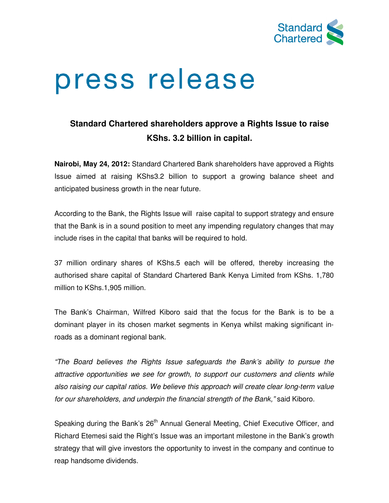

# press release

## **Standard Chartered shareholders approve a Rights Issue to raise KShs. 3.2 billion in capital.**

**Nairobi, May 24, 2012:** Standard Chartered Bank shareholders have approved a Rights Issue aimed at raising KShs3.2 billion to support a growing balance sheet and anticipated business growth in the near future.

According to the Bank, the Rights Issue will raise capital to support strategy and ensure that the Bank is in a sound position to meet any impending regulatory changes that may include rises in the capital that banks will be required to hold.

37 million ordinary shares of KShs.5 each will be offered, thereby increasing the authorised share capital of Standard Chartered Bank Kenya Limited from KShs. 1,780 million to KShs.1,905 million.

The Bank's Chairman, Wilfred Kiboro said that the focus for the Bank is to be a dominant player in its chosen market segments in Kenya whilst making significant inroads as a dominant regional bank.

"The Board believes the Rights Issue safeguards the Bank's ability to pursue the attractive opportunities we see for growth, to support our customers and clients while also raising our capital ratios. We believe this approach will create clear long-term value for our shareholders, and underpin the financial strength of the Bank," said Kiboro.

Speaking during the Bank's 26<sup>th</sup> Annual General Meeting, Chief Executive Officer, and Richard Etemesi said the Right's Issue was an important milestone in the Bank's growth strategy that will give investors the opportunity to invest in the company and continue to reap handsome dividends.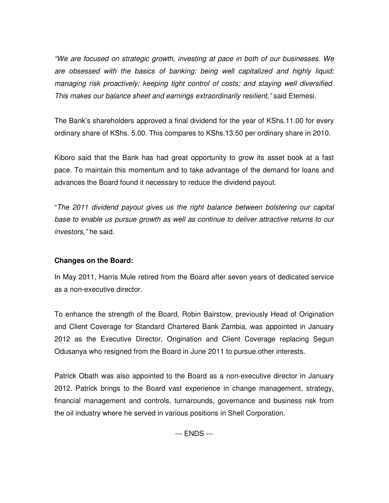"We are focused on strategic growth, investing at pace in both of our businesses. We are obsessed with the basics of banking: being well capitalized and highly liquid; managing risk proactively; keeping tight control of costs; and staying well diversified. This makes our balance sheet and earnings extraordinarily resilient," said Etemesi.

The Bank's shareholders approved a final dividend for the year of KShs.11.00 for every ordinary share of KShs. 5.00. This compares to KShs.13.50 per ordinary share in 2010.

Kiboro said that the Bank has had great opportunity to grow its asset book at a fast pace. To maintain this momentum and to take advantage of the demand for loans and advances the Board found it necessary to reduce the dividend payout.

"The 2011 dividend payout gives us the right balance between bolstering our capital base to enable us pursue growth as well as continue to deliver attractive returns to our investors," he said.

### **Changes on the Board:**

In May 2011, Harris Mule retired from the Board after seven years of dedicated service as a non-executive director.

To enhance the strength of the Board, Robin Bairstow, previously Head of Origination and Client Coverage for Standard Chartered Bank Zambia, was appointed in January 2012 as the Executive Director, Origination and Client Coverage replacing Segun Odusanya who resigned from the Board in June 2011 to pursue other interests.

Patrick Obath was also appointed to the Board as a non-executive director in January 2012. Patrick brings to the Board vast experience in change management, strategy, financial management and controls, turnarounds, governance and business risk from the oil industry where he served in various positions in Shell Corporation.

--- ENDS ---